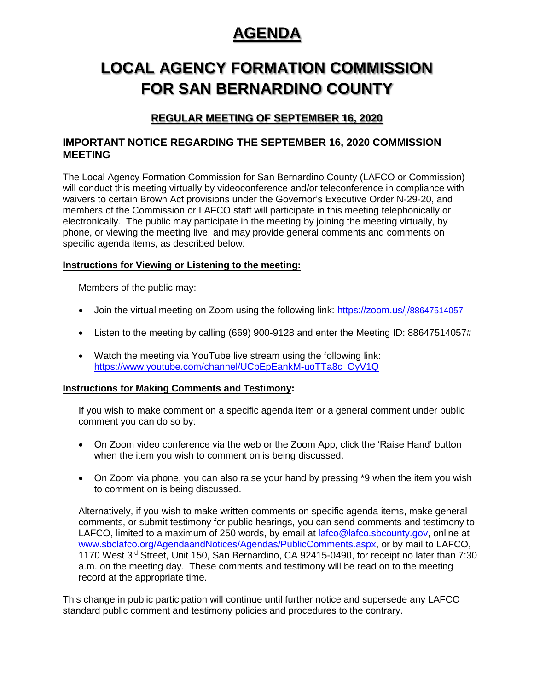# **AGENDA** AGENDA

# **LOCAL AGENCY FORMATION COMMISSION**  LOCAL AGENCY FORMATION COMMISSION **FOR SAN BERNARDINO COUNTY**  FOR SAN BERNARDINO COUNTY

# **REGULAR MEETING OF SEPTEMBER 16, 2020**

## **IMPORTANT NOTICE REGARDING THE SEPTEMBER 16, 2020 COMMISSION MEETING**

The Local Agency Formation Commission for San Bernardino County (LAFCO or Commission) will conduct this meeting virtually by videoconference and/or teleconference in compliance with waivers to certain Brown Act provisions under the Governor's Executive Order N-29-20, and members of the Commission or LAFCO staff will participate in this meeting telephonically or electronically. The public may participate in the meeting by joining the meeting virtually, by phone, or viewing the meeting live, and may provide general comments and comments on specific agenda items, as described below:

## **Instructions for Viewing or Listening to the meeting:**

Members of the public may:

- Join the virtual meeting on Zoom using the following link: [https://zoom.us/j/](https://zoom.us/j/88647514057)88647514057
- Listen to the meeting by calling (669) 900-9128 and enter the Meeting ID: 88647514057#
- Watch the meeting via YouTube live stream using the following link: [https://www.youtube.com/channel/UCpEpEankM-uoTTa8c\\_OyV1Q](https://www.youtube.com/channel/UCpEpEankM-uoTTa8c_OyV1Q)

## **Instructions for Making Comments and Testimony:**

If you wish to make comment on a specific agenda item or a general comment under public comment you can do so by:

- On Zoom video conference via the web or the Zoom App, click the 'Raise Hand' button when the item you wish to comment on is being discussed.
- On Zoom via phone, you can also raise your hand by pressing \*9 when the item you wish to comment on is being discussed.

Alternatively, if you wish to make written comments on specific agenda items, make general comments, or submit testimony for public hearings, you can send comments and testimony to LAFCO, limited to a maximum of 250 words, by email at [lafco@lafco.sbcounty.gov,](mailto:lafco@lafco.sbcounty.gov) online at [www.sbclafco.org/AgendaandNotices/Agendas/PublicComments.aspx,](http://www.sbclafco.org/AgendaandNotices/Agendas/PublicComments.aspx) or by mail to LAFCO, 1170 West 3rd Street, Unit 150, San Bernardino, CA 92415-0490, for receipt no later than 7:30 a.m. on the meeting day. These comments and testimony will be read on to the meeting record at the appropriate time.

This change in public participation will continue until further notice and supersede any LAFCO standard public comment and testimony policies and procedures to the contrary.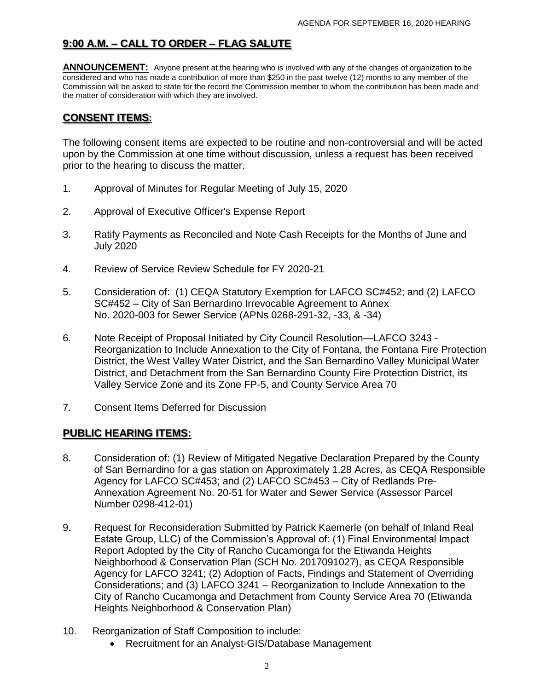# 9:00 A.M. – CALL TO ORDER – FLAG SALUTE

**ANNOUNCEMENT:** Anyone present at the hearing who is involved with any of the changes of organization to be considered and who has made a contribution of more than \$250 in the past twelve (12) months to any member of the Commission will be asked to state for the record the Commission member to whom the contribution has been made and the matter of consideration with which they are involved.

# **CONSENT ITEMS:**

 The following consent items are expected to be routine and non-controversial and will be acted upon by the Commission at one time without discussion, unless a request has been received prior to the hearing to discuss the matter.

- 1. Approval of Minutes for Regular Meeting of July 15, 2020
- 2. Approval of Executive Officer's Expense Report
- 3. Ratify Payments as Reconciled and Note Cash Receipts for the Months of June and July 2020
- 4. Review of Service Review Schedule for FY 2020-21
- 5. Consideration of: (1) CEQA Statutory Exemption for LAFCO SC#452; and (2) LAFCO SC#452 – City of San Bernardino Irrevocable Agreement to Annex No. 2020-003 for Sewer Service (APNs 0268-291-32, -33, & -34)
- 6. Note Receipt of Proposal Initiated by City Council Resolution—LAFCO 3243 Reorganization to Include Annexation to the City of Fontana, the Fontana Fire Protection District, the West Valley Water District, and the San Bernardino Valley Municipal Water District, and Detachment from the San Bernardino County Fire Protection District, its Valley Service Zone and its Zone FP-5, and County Service Area 70
- 7. Consent Items Deferred for Discussion

# **PUBLIC HEARING ITEMS:**

- 8. Consideration of: (1) Review of Mitigated Negative Declaration Prepared by the County of San Bernardino for a gas station on Approximately 1.28 Acres, as CEQA Responsible Agency for LAFCO SC#453; and (2) LAFCO SC#453 – City of Redlands Pre-Annexation Agreement No. 20-51 for Water and Sewer Service (Assessor Parcel Number 0298-412-01)
- 9. Request for Reconsideration Submitted by Patrick Kaemerle (on behalf of Inland Real Estate Group, LLC) of the Commission's Approval of: (1) Final Environmental Impact Report Adopted by the City of Rancho Cucamonga for the Etiwanda Heights Neighborhood & Conservation Plan (SCH No. 2017091027), as CEQA Responsible Agency for LAFCO 3241; (2) Adoption of Facts, Findings and Statement of Overriding Considerations; and (3) LAFCO 3241 – Reorganization to Include Annexation to the City of Rancho Cucamonga and Detachment from County Service Area 70 (Etiwanda Heights Neighborhood & Conservation Plan)
- 10. Reorganization of Staff Composition to include:
	- Recruitment for an Analyst-GIS/Database Management